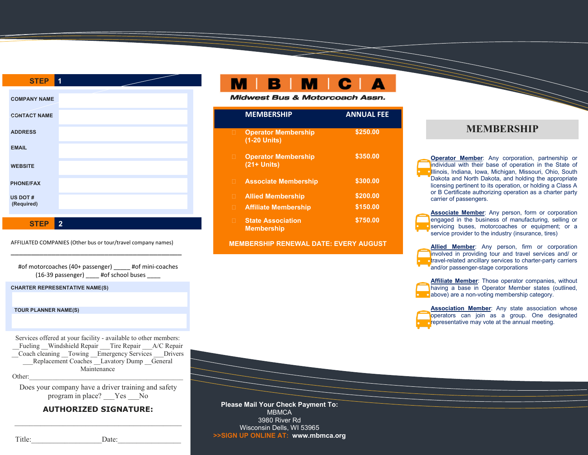| <b>STEP</b>            | 1 |
|------------------------|---|
|                        |   |
| <b>COMPANY NAME</b>    |   |
| <b>CONTACT NAME</b>    |   |
| <b>ADDRESS</b>         |   |
| <b>EMAIL</b>           |   |
| <b>WEBSITE</b>         |   |
| <b>PHONE/FAX</b>       |   |
| US DOT #<br>(Required) |   |

**STEP 2**

AFFILIATED COMPANIES (Other bus or tour/travel company names) \_\_\_\_\_\_\_\_\_\_\_\_\_\_\_\_\_\_\_\_\_\_\_\_\_\_\_\_\_\_\_\_\_\_\_\_\_\_\_\_\_\_

#of motorcoaches (40+ passenger) \_ #of mini-coaches (16-39 passenger) #of school buses

**CHARTER REPRESENTATIVE NAME(S)**

#### **TOUR PLANNER NAME(S)**

Services offered at your facility - available to other members: Fueling Windshield Repair \_\_\_\_Tire Repair \_\_\_\_\_A/C Repair \_\_Coach cleaning \_\_Towing \_\_Emergency Services \_\_\_Drivers  $Replacement Coaches$  Lavatory Dump General Maintenance Other:\_\_\_\_\_\_\_\_\_\_\_\_\_\_\_\_\_\_\_\_\_\_\_\_\_\_\_\_\_\_\_\_\_\_\_\_\_\_\_\_\_\_\_\_\_\_

Does your company have a driver training and safety program in place? \_\_\_Yes \_\_\_No

## **AUTHORIZED SIGNATURE:** \_\_\_\_\_\_\_\_\_\_\_\_\_\_\_\_\_\_\_\_\_\_\_\_\_\_\_\_\_\_\_\_\_\_\_\_\_\_\_\_\_\_\_\_\_

**Midwest Bus & Motorcoach Assn.** 

|   | <b>MEMBERSHIP</b>                             | <b>ANNUAL FEE</b> |
|---|-----------------------------------------------|-------------------|
| П | <b>Operator Membership</b><br>(1-20 Units)    | \$250.00          |
| п | <b>Operator Membership</b><br>$(21 + Units)$  | \$350.00          |
| П | <b>Associate Membership</b>                   | \$300.00          |
| П | <b>Allied Membership</b>                      | \$200.00          |
| П | <b>Affiliate Membership</b>                   | \$150.00          |
| п | <b>State Association</b><br><b>Membership</b> | \$750.00          |

**MEMBERSHIP RENEWAL DATE: EVERY AUGUST**

### **MEMBERSHIP**

**Operator Member**: Any corporation, partnership or individual with their base of operation in the State of **Illinois, Indiana, Iowa, Michigan, Missouri, Ohio, South** Dakota and North Dakota, and holding the appropriate licensing pertinent to its operation, or holding a Class A or B Certificate authorizing operation as a charter party carrier of passengers.

**Associate Member**: Any person, form or corporation engaged in the business of manufacturing, selling or **e** servicing buses, motorcoaches or equipment; or a service provider to the industry (insurance, tires)

**Allied Member**: Any person, firm or corporation involved in providing tour and travel services and/ or travel-related ancillary services to charter-party carriers and/or passenger-stage corporations

**Affiliate Member:** Those operator companies, without having a base in Operator Member states (outlined, **a**bove) are a non-voting membership category.

**Association Member**: Any state association whose operators can join as a group. One designated representative may vote at the annual meeting.

 **Please Mail Your Check Payment To: MBMCA** 3980 River Rd Wisconsin Dells, WI 53965 **>>SIGN UP ONLINE AT: www.mbmca.org**

Title: Date: